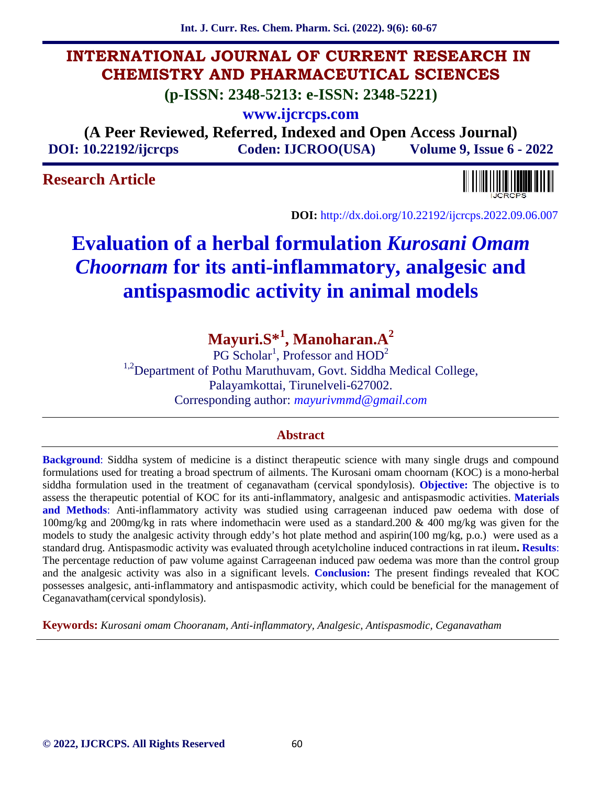**Int. J. Curr. Res. Chem. Pharm. Sci. (2022). 9(6): 60-67**

# **INTERNATIONAL JOURNAL OF CURRENT RESEARCH IN CHEMISTRY AND PHARMACEUTICAL SCIENCES**

**(p-ISSN: 2348-5213: e-ISSN: 2348-5221)**

**www.ijcrcps.com**

**(A Peer Reviewed, Referred, Indexed and Open Access Journal) DOI: 10.22192/ijcrcps Coden: IJCROO(USA) Volume 9, Issue 6 - 2022**

# **Research Article**



**DOI:** http://dx.doi.org/10.22192/ijcrcps.2022.09.06.007

# **Evaluation of a herbal formulation** *Kurosani Omam Choornam* **for its anti-inflammatory, analgesic and antispasmodic activity in animal models**

**Mayuri.S\*<sup>1</sup> , Manoharan.A<sup>2</sup>**

 $PG$  Scholar<sup>1</sup>, Professor and  $HOD<sup>2</sup>$ <sup>1,2</sup>Department of Pothu Maruthuvam, Govt. Siddha Medical College, Palayamkottai, Tirunelveli-627002. Corresponding author: *mayurivmmd@gmail.com*

## **Abstract**

**Background**: Siddha system of medicine is a distinct therapeutic science with many single drugs and compound formulations used for treating a broad spectrum of ailments. The Kurosani omam choornam (KOC) is a mono-herbal siddha formulation used in the treatment of ceganavatham (cervical spondylosis). **Objective:** The objective is to assess the therapeutic potential of KOC for its anti-inflammatory, analgesic and antispasmodic activities. **Materials and Methods**: Anti-inflammatory activity was studied using carrageenan induced paw oedema with dose of 100mg/kg and 200mg/kg in rats where indomethacin were used as a standard.200 & 400 mg/kg was given for the models to study the analgesic activity through eddy's hot plate method and aspirin(100 mg/kg, p.o.) were used as a standard drug. Antispasmodic activity was evaluated through acetylcholine induced contractions in rat ileum**. Results**: The percentage reduction of paw volume against Carrageenan induced paw oedema was more than the control group and the analgesic activity was also in a significant levels. **Conclusion:** The present findings revealed that KOC possesses analgesic, anti-inflammatory and antispasmodic activity, which could be beneficial for the management of Ceganavatham(cervical spondylosis).

**Keywords:** *Kurosani omam Chooranam, Anti-inflammatory, Analgesic, Antispasmodic, Ceganavatham*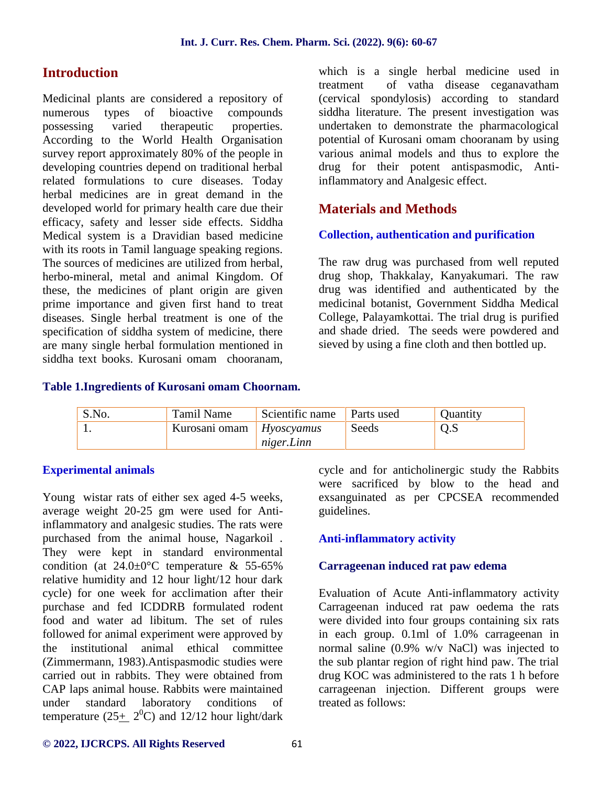# **Introduction**

Medicinal plants are considered a repository of<br>numerous types of bioactive compounds numerous types of bioactive possessing varied therapeutic properties. According to the World Health Organisation survey report approximately 80% of the people in developing countries depend on traditional herbal related formulations to cure diseases. Today herbal medicines are in great demand in the developed world for primary health care due their efficacy, safety and lesser side effects. Siddha Medical system is a Dravidian based medicine with its roots in Tamil language speaking regions. The sources of medicines are utilized from herbal, herbo-mineral, metal and animal Kingdom. Of these, the medicines of plant origin are given prime importance and given first hand to treat diseases. Single herbal treatment is one of the specification of siddha system of medicine, there are many single herbal formulation mentioned in siddha text books. Kurosani omam chooranam,

which is a single herbal medicine used in treatment of vatha disease ceganavatham (cervical spondylosis) according to standard siddha literature. The present investigation was undertaken to demonstrate the pharmacological potential of Kurosani omam chooranam by using various animal models and thus to explore the drug for their potent antispasmodic, Antiinflammatory and Analgesic effect.

# **Materials and Methods**

## **Collection, authentication and purification**

The raw drug was purchased from well reputed drug shop, Thakkalay, Kanyakumari. The raw drug was identified and authenticated by the medicinal botanist, Government Siddha Medical College, Palayamkottai. The trial drug is purified and shade dried. The seeds were powdered and sieved by using a fine cloth and then bottled up.

### **Table 1.Ingredients of Kurosani omam Choornam.**

| S.No. | <b>Tamil Name</b>        | Scientific name | Parts used | <b>Ouantity</b> |
|-------|--------------------------|-----------------|------------|-----------------|
|       | Kurosani omam Hyoscyamus |                 | Seeds      | 0.5             |
|       |                          | niger.Linn      |            |                 |

## **Experimental animals**

Young wistar rats of either sex aged 4-5 weeks, average weight 20-25 gm were used for Antiinflammatory and analgesic studies. The rats were purchased from the animal house, Nagarkoil . They were kept in standard environmental condition (at  $24.0\pm0\degree$ C temperature & 55-65%) relative humidity and 12 hour light/12 hour dark cycle) for one week for acclimation after their purchase and fed ICDDRB formulated rodent food and water ad libitum. The set of rules followed for animal experiment were approved by the institutional animal ethical committee (Zimmermann, 1983).Antispasmodic studies were carried out in rabbits. They were obtained from CAP laps animal house. Rabbits were maintained under standard laboratory conditions of temperature  $(25 \pm 2^0C)$  and 12/12 hour light/dark

cycle and for anticholinergic study the Rabbits were sacrificed by blow to the head and exsanguinated as per CPCSEA recommended guidelines.

## **Anti-inflammatory activity**

### **Carrageenan induced rat paw edema**

Evaluation of Acute Anti-inflammatory activity Carrageenan induced rat paw oedema the rats were divided into four groups containing six rats in each group. 0.1ml of 1.0% carrageenan in normal saline (0.9% w/v NaCl) was injected to the sub plantar region of right hind paw. The trial drug KOC was administered to the rats 1 h before carrageenan injection. Different groups were treated as follows:

#### **© 2022, IJCRCPS. All Rights Reserved** 61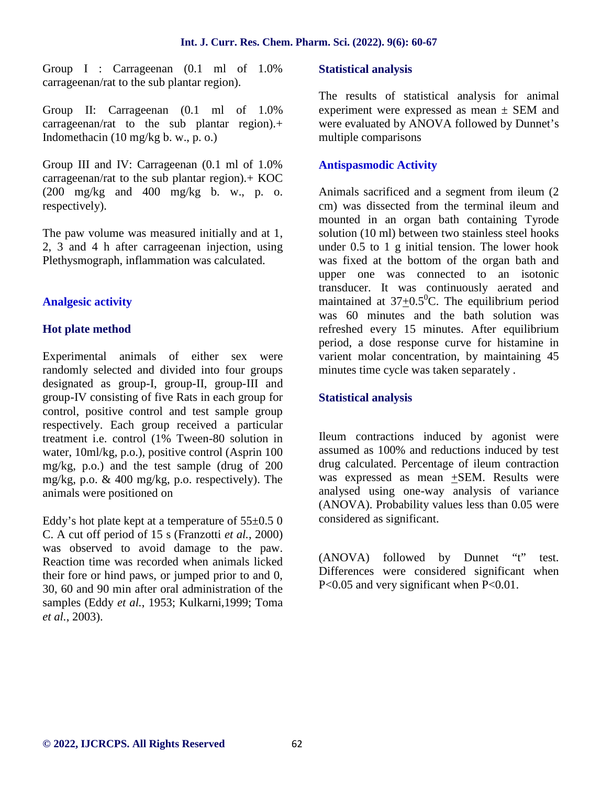Group I : Carrageenan (0.1 ml of 1.0% carrageenan/rat to the sub plantar region).

Group II: Carrageenan (0.1 ml of 1.0% carrageenan/rat to the sub plantar region).+ Indomethacin (10 mg/kg b. w., p. o.)

Group III and IV: Carrageenan (0.1 ml of 1.0% carrageenan/rat to the sub plantar region).+ KOC  $(200 \text{ mg/kg}$  and  $400 \text{ mg/kg}$  b. w., p. o. respectively).

The paw volume was measured initially and at 1, 2, 3 and 4 h after carrageenan injection, using Plethysmograph, inflammation was calculated.

## **Analgesic activity**

## **Hot plate method**

Experimental animals of either sex were randomly selected and divided into four groups designated as group-I, group-II, group-III and group-IV consisting of five Rats in each group for control, positive control and test sample group respectively. Each group received a particular treatment i.e. control (1% Tween-80 solution in water, 10ml/kg, p.o.), positive control (Asprin 100 mg/kg, p.o.) and the test sample (drug of 200 mg/kg, p.o. & 400 mg/kg, p.o. respectively). The animals were positioned on

Eddy's hot plate kept at a temperature of  $55\pm0.5$  0 C. A cut off period of 15 s (Franzotti *et al.*, 2000) was observed to avoid damage to the paw. Reaction time was recorded when animals licked their fore or hind paws, or jumped prior to and 0, 30, 60 and 90 min after oral administration of the samples (Eddy *et al.*, 1953; Kulkarni,1999; Toma *et al.*, 2003).

## **Statistical analysis**

The results of statistical analysis for animal experiment were expressed as mean  $\pm$  SEM and were evaluated by ANOVA followed by Dunnet's multiple comparisons

## **Antispasmodic Activity**

Animals sacrificed and a segment from ileum (2 cm) was dissected from the terminal ileum and mounted in an organ bath containing Tyrode solution (10 ml) between two stainless steel hooks under 0.5 to 1 g initial tension. The lower hook was fixed at the bottom of the organ bath and upper one was connected to an isotonic transducer. It was continuously aerated and maintained at  $37+0.5$ <sup>o</sup>C. The equilibrium period was 60 minutes and the bath solution was refreshed every 15 minutes. After equilibrium period, a dose response curve for histamine in varient molar concentration, by maintaining 45 minutes time cycle was taken separately .

## **Statistical analysis**

Ileum contractions induced by agonist were assumed as 100% and reductions induced by test drug calculated. Percentage of ileum contraction was expressed as mean +SEM. Results were analysed using one-way analysis of variance (ANOVA). Probability values less than 0.05 were considered as significant.

(ANOVA) followed by Dunnet "t" test. Differences were considered significant when P<0.05 and very significant when P<0.01.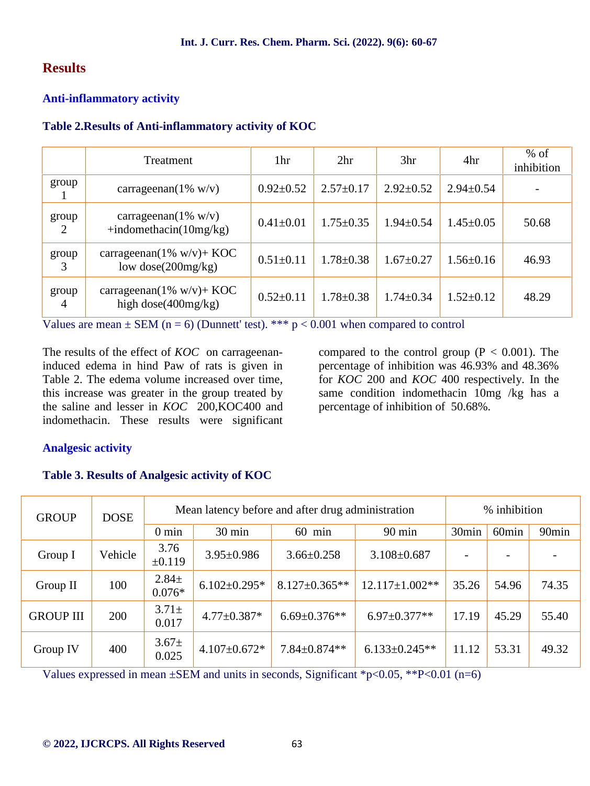# **Results**

## **Anti-inflammatory activity**

## **Table 2.Results of Anti-inflammatory activity of KOC**

|                         | Treatment                                              | 1hr             | 2 <sup>hr</sup> | 3 <sub>hr</sub> | 4hr             | $%$ of<br>inhibition |
|-------------------------|--------------------------------------------------------|-----------------|-----------------|-----------------|-----------------|----------------------|
| group                   | carrageenan( $1\%$ w/v)                                | $0.92 \pm 0.52$ | $2.57 \pm 0.17$ | $2.92 \pm 0.52$ | $2.94 \pm 0.54$ |                      |
| group<br>2              | carrageenan( $1\%$ w/v)<br>$+indomethacin(10mg/kg)$    | $0.41 \pm 0.01$ | $1.75 \pm 0.35$ | $1.94 \pm 0.54$ | $1.45 \pm 0.05$ | 50.68                |
| group<br>3              | carrageenan( $1\%$ w/v)+ KOC<br>low dose $(200mg/kg)$  | $0.51 \pm 0.11$ | $1.78 \pm 0.38$ | $1.67 \pm 0.27$ | $1.56 \pm 0.16$ | 46.93                |
| group<br>$\overline{4}$ | carrageenan( $1\%$ w/v)+ KOC<br>high dose $(400mg/kg)$ | $0.52 \pm 0.11$ | $1.78 \pm 0.38$ | $1.74 \pm 0.34$ | $1.52 \pm 0.12$ | 48.29                |

Values are mean  $\pm$  SEM (n = 6) (Dunnett' test). \*\*\*  $p < 0.001$  when compared to control

The results of the effect of *KOC* on carrageenaninduced edema in hind Paw of rats is given in Table 2. The edema volume increased over time, this increase was greater in the group treated by the saline and lesser in *KOC* 200,KOC400 and indomethacin. These results were significant compared to the control group  $(P < 0.001)$ . The percentage of inhibition was 46.93% and 48.36% for *KOC* 200 and *KOC* 400 respectively. In the same condition indomethacin 10mg /kg has a percentage of inhibition of 50.68%.

## **Analgesic activity**

## **Table 3. Results of Analgesic activity of KOC**

| <b>GROUP</b>     | <b>DOSE</b> | Mean latency before and after drug administration |                     |                     | % inhibition          |                   |                   |                   |
|------------------|-------------|---------------------------------------------------|---------------------|---------------------|-----------------------|-------------------|-------------------|-------------------|
|                  |             | $0 \text{ min}$                                   | 30 min              | $60$ min            | $90 \text{ min}$      | 30 <sub>min</sub> | 60 <sub>min</sub> | 90 <sub>min</sub> |
| Group I          | Vehicle     | 3.76<br>±0.119                                    | $3.95 \pm 0.986$    | $3.66 \pm 0.258$    | $3.108 \pm 0.687$     |                   |                   |                   |
| Group II         | 100         | $2.84 \pm$<br>$0.076*$                            | $6.102 \pm 0.295$ * | $8.127 \pm 0.365**$ | $12.117 \pm 1.002$ ** | 35.26             | 54.96             | 74.35             |
| <b>GROUP III</b> | 200         | $3.71 \pm$<br>0.017                               | $4.77 \pm 0.387*$   | $6.69 \pm 0.376**$  | $6.97 \pm 0.377**$    | 17.19             | 45.29             | 55.40             |
| Group IV         | 400         | $3.67 \pm$<br>0.025                               | $4.107 \pm 0.672$ * | $7.84 \pm 0.874**$  | $6.133 \pm 0.245**$   | 11.12             | 53.31             | 49.32             |

Values expressed in mean  $\pm$ SEM and units in seconds, Significant \*p<0.05, \*\*P<0.01 (n=6)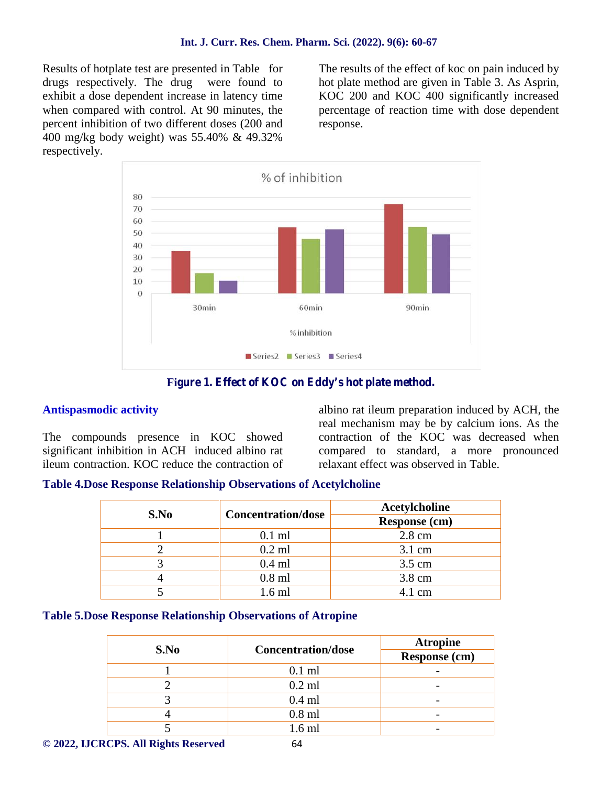Results of hotplate test are presented in Table for drugs respectively. The drug were found to exhibit a dose dependent increase in latency time when compared with control. At 90 minutes, the percent inhibition of two different doses (200 and 400 mg/kg body weight) was 55.40% & 49.32% respectively.

The results of the effect of koc on pain induced by hot plate method are given in Table 3. As Asprin, KOC 200 and KOC 400 significantly increased percentage of reaction time with dose dependent response.



## Figure 1. Effect of KOC on Eddy's hot plate method.

## **Antispasmodic activity**

The compounds presence in KOC showed significant inhibition in ACH induced albino rat ileum contraction. KOC reduce the contraction of albino rat ileum preparation induced by ACH, the real mechanism may be by calcium ions. As the contraction of the KOC was decreased when compared to standard, a more pronounced relaxant effect was observed in Table.

### **Table 4.Dose Response Relationship Observations of Acetylcholine**

| S.No | <b>Concentration/dose</b> | Acetylcholine<br>Response (cm) |  |  |
|------|---------------------------|--------------------------------|--|--|
|      |                           |                                |  |  |
|      | $0.1$ ml                  | 2.8 cm                         |  |  |
|      | $0.2$ ml                  | $3.1 \text{ cm}$               |  |  |
|      | $0.4$ ml                  | 3.5 cm                         |  |  |
|      | $0.8$ ml                  | 3.8 cm                         |  |  |
|      | $6 \text{ ml}$            | $1 \text{ cm}$                 |  |  |

### **Table 5.Dose Response Relationship Observations of Atropine**

|      |                           | <b>Atropine</b>          |  |
|------|---------------------------|--------------------------|--|
| S.No | <b>Concentration/dose</b> | Response (cm)            |  |
|      | $0.1$ ml                  |                          |  |
|      | $0.2$ ml                  | $\overline{\phantom{0}}$ |  |
|      | $0.4$ ml                  | $\overline{\phantom{0}}$ |  |
|      | $0.8$ ml                  |                          |  |
|      | 1.6 ml                    |                          |  |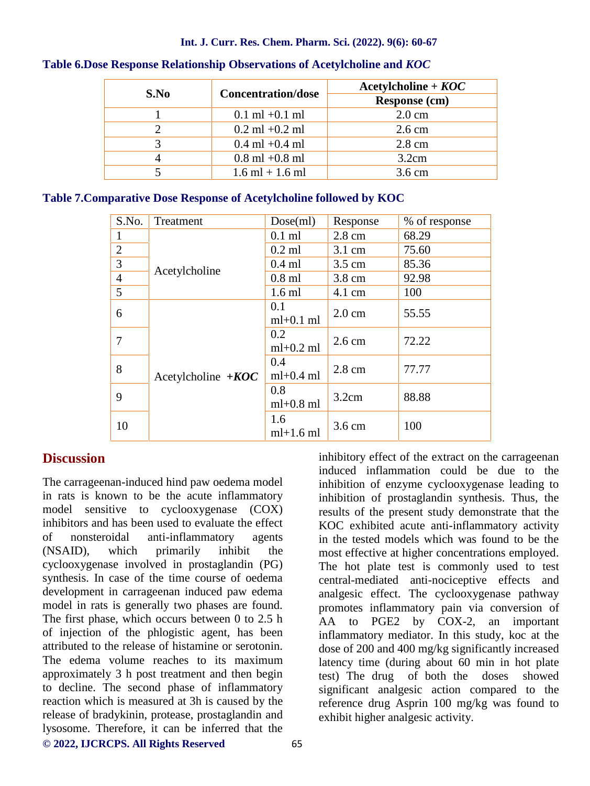#### **Int. J. Curr. Res. Chem. Pharm. Sci. (2022). 9(6): 60-67**

| S.No | <b>Concentration/dose</b> | $Acetylcholine + KOC$<br><b>Response (cm)</b> |  |
|------|---------------------------|-----------------------------------------------|--|
|      |                           |                                               |  |
|      | $0.1$ ml +0.1 ml          | $2.0 \text{ cm}$                              |  |
|      | $0.2$ ml +0.2 ml          | $2.6 \text{ cm}$                              |  |
|      | $0.4$ ml +0.4 ml          | $2.8 \text{ cm}$                              |  |
|      | $0.8$ ml $+0.8$ ml        | 3.2cm                                         |  |
|      | $1.6$ ml + 1.6 ml         | 3.6 cm                                        |  |

#### **Table 6.Dose Response Relationship Observations of Acetylcholine and** *KOC*

### **Table 7.Comparative Dose Response of Acetylcholine followed by KOC**

| S.No.          | Treatment            | Dose(ml)           | Response         | % of response |
|----------------|----------------------|--------------------|------------------|---------------|
|                |                      | $0.1$ ml           | $2.8 \text{ cm}$ | 68.29         |
| $\overline{2}$ |                      | $0.2$ ml           | 3.1 cm           | 75.60         |
| 3              | Acetylcholine        | $0.4$ ml           | 3.5 cm           | 85.36         |
| $\overline{4}$ |                      | $0.8$ ml           | $3.8 \text{ cm}$ | 92.98         |
| 5              |                      | $1.6$ ml           | $4.1 \text{ cm}$ | 100           |
| 6              | Acetylcholine $+KOC$ | 0.1<br>$ml+0.1 ml$ | $2.0 \text{ cm}$ | 55.55         |
| 7              |                      | 0.2<br>$ml+0.2 ml$ | $2.6 \text{ cm}$ | 72.22         |
| 8              |                      | 0.4<br>$ml+0.4 ml$ | $2.8 \text{ cm}$ | 77.77         |
| 9              |                      | 0.8<br>$ml+0.8$ ml | 3.2cm            | 88.88         |
| 10             |                      | 1.6<br>$ml+1.6 ml$ | 3.6 cm           | 100           |

# **Discussion**

**© 2022, IJCRCPS. All Rights Reserved** 65 The carrageenan-induced hind paw oedema model in rats is known to be the acute inflammatory model sensitive to cyclooxygenase (COX) inhibitors and has been used to evaluate the effect of nonsteroidal anti-inflammatory agents (NSAID), which primarily inhibit the cyclooxygenase involved in prostaglandin (PG) synthesis. In case of the time course of oedema development in carrageenan induced paw edema model in rats is generally two phases are found. The first phase, which occurs between 0 to 2.5 h of injection of the phlogistic agent, has been attributed to the release of histamine or serotonin. The edema volume reaches to its maximum approximately 3 h post treatment and then begin to decline. The second phase of inflammatory reaction which is measured at 3h is caused by the release of bradykinin, protease, prostaglandin and lysosome. Therefore, it can be inferred that the

inhibitory effect of the extract on the carrageenan induced inflammation could be due to the inhibition of enzyme cyclooxygenase leading to inhibition of prostaglandin synthesis. Thus, the results of the present study demonstrate that the KOC exhibited acute anti-inflammatory activity in the tested models which was found to be the most effective at higher concentrations employed. The hot plate test is commonly used to test central-mediated anti-nociceptive effects and analgesic effect. The cyclooxygenase pathway promotes inflammatory pain via conversion of AA to PGE2 by COX-2, an important inflammatory mediator. In this study, koc at the dose of 200 and 400 mg/kg significantly increased latency time (during about 60 min in hot plate test) The drug of both the doses showed significant analgesic action compared to the reference drug Asprin 100 mg/kg was found to exhibit higher analgesic activity.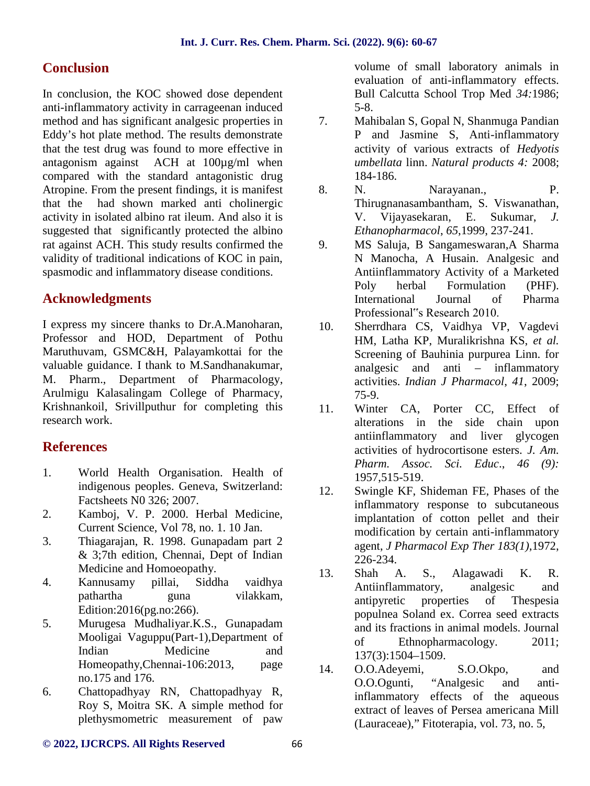# **Conclusion**

In conclusion, the KOC showed dose dependent anti-inflammatory activity in carrageenan induced method and has significant analgesic properties in  $\frac{7}{10}$ . Eddy's hot plate method. The results demonstrate that the test drug was found to more effective in antagonism against ACH at 100µg/ml when compared with the standard antagonistic drug Atropine. From the present findings, it is manifest that the had shown marked anti cholinergic activity in isolated albino rat ileum. And also it is suggested that significantly protected the albino rat against ACH. This study results confirmed the 9. validity of traditional indications of KOC in pain, spasmodic and inflammatory disease conditions.

# **Acknowledgments**

I express my sincere thanks to Dr.A.Manoharan, Professor and HOD, Department of Pothu Maruthuvam, GSMC&H, Palayamkottai for the valuable guidance. I thank to M.Sandhanakumar, M. Pharm., Department of Pharmacology, Arulmigu Kalasalingam College of Pharmacy, Krishnankoil, Srivillputhur for completing this research work.

## **References**

- 1. World Health Organisation. Health of indigenous peoples. Geneva, Switzerland: Factsheets N0 326; 2007.
- 2. Kamboj, V. P. 2000. Herbal Medicine, Current Science, Vol 78, no. 1. 10 Jan.
- 3. Thiagarajan, R. 1998. Gunapadam part 2 & 3;7th edition, Chennai, Dept of Indian Medicine and Homoeopathy.
- 4. Kannusamy pillai, Siddha vaidhya pathartha guna vilakkam, Edition:2016(pg.no:266).
- 5. Murugesa Mudhaliyar.K.S., Gunapadam Mooligai Vaguppu(Part-1),Department of Indian Medicine and Homeopathy,Chennai-106:2013, page no.175 and 176.
- 6. Chattopadhyay RN, Chattopadhyay R, Roy S, Moitra SK. A simple method for plethysmometric measurement of paw

volume of small laboratory animals in evaluation of anti-inflammatory effects. Bull Calcutta School Trop Med *34:*1986; 5-8.

- 7. Mahibalan S, Gopal N, Shanmuga Pandian P and Jasmine S, Anti-inflammatory activity of various extracts of *Hedyotis umbellata* linn. *Natural products 4:* 2008; 184-186.
- 8. N. Narayanan., P. Thirugnanasambantham, S. Viswanathan, V. Vijayasekaran, E. Sukumar, *J. Ethanopharmacol*, *65*,1999, 237-241.
- 9. MS Saluja, B Sangameswaran,A Sharma N Manocha, A Husain. Analgesic and Antiinflammatory Activity of a Marketed Poly herbal Formulation (PHF). International Journal of Pharma Professional"s Research 2010.
- 10. Sherrdhara CS, Vaidhya VP, Vagdevi HM, Latha KP, Muralikrishna KS, *et al.* Screening of Bauhinia purpurea Linn. for analgesic and anti – inflammatory activities. *Indian J Pharmacol*, *41*, 2009; 75-9.
- 11. Winter CA, Porter CC, Effect of alterations in the side chain upon antiinflammatory and liver glycogen activities of hydrocortisone esters. *J. Am. Pharm. Assoc. Sci. Educ*., *46 (9):* 1957,515-519.
- 12. Swingle KF, Shideman FE, Phases of the inflammatory response to subcutaneous implantation of cotton pellet and their modification by certain anti-inflammatory agent, *J Pharmacol Exp Ther 183(1)*,1972, 226-234.
- 13. Shah A. S., Alagawadi K. R. Antiinflammatory, analgesic and antipyretic properties of Thespesia populnea Soland ex. Correa seed extracts and its fractions in animal models. Journal of Ethnopharmacology. 2011; 137(3):1504–1509.
- 0.0.Adeyemi, S.O.Okpo, and O.O.Ogunti, "Analgesic and antiinflammatory effects of the aqueous extract of leaves of Persea americana Mill (Lauraceae)," Fitoterapia, vol. 73, no. 5,

#### **© 2022, IJCRCPS. All Rights Reserved** 66